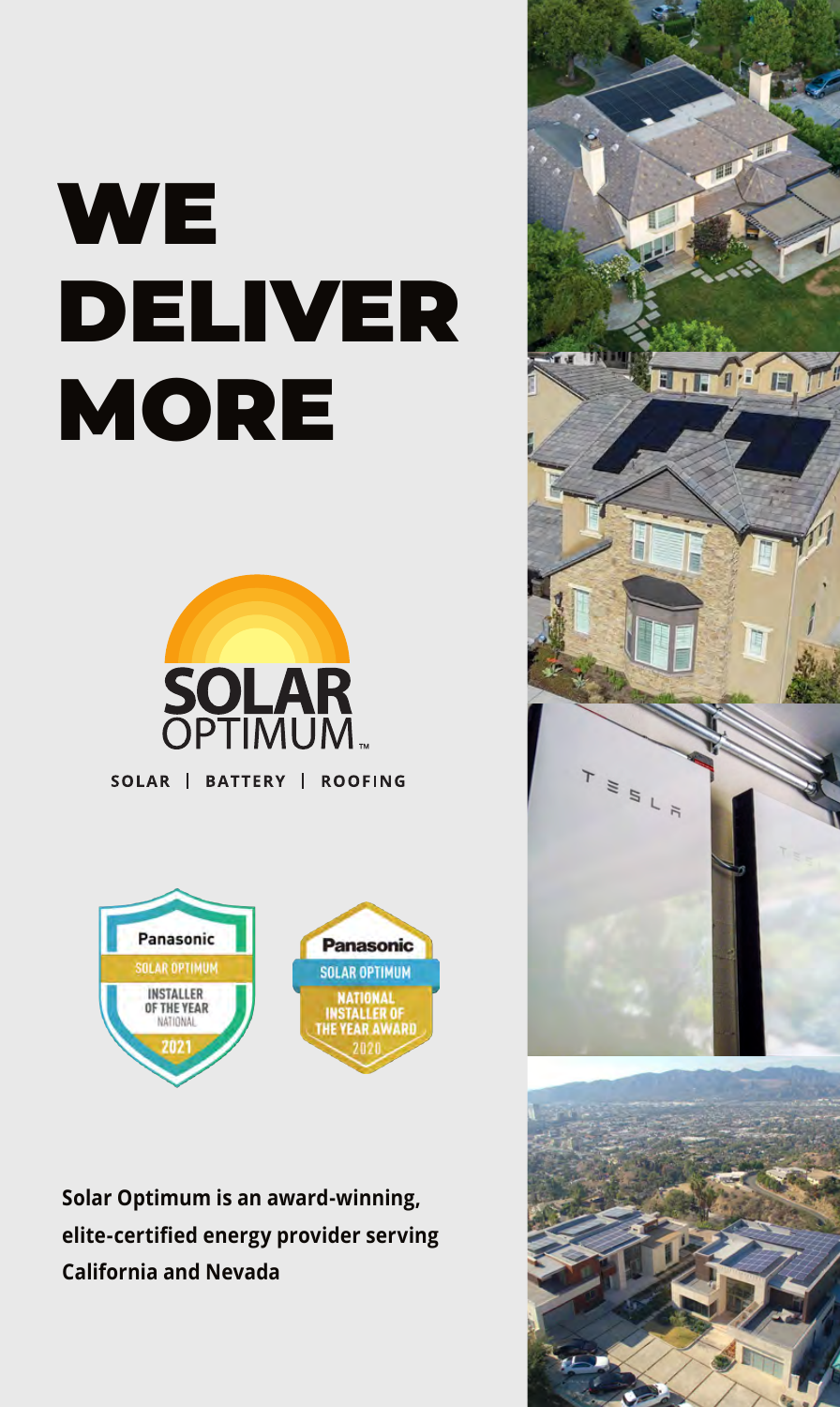# **WE** DELIVER **MORE**



SOLAR | BATTERY | ROOFING



**Solar Optimum is an award-winning, elite-certified energy provider serving California and Nevada**

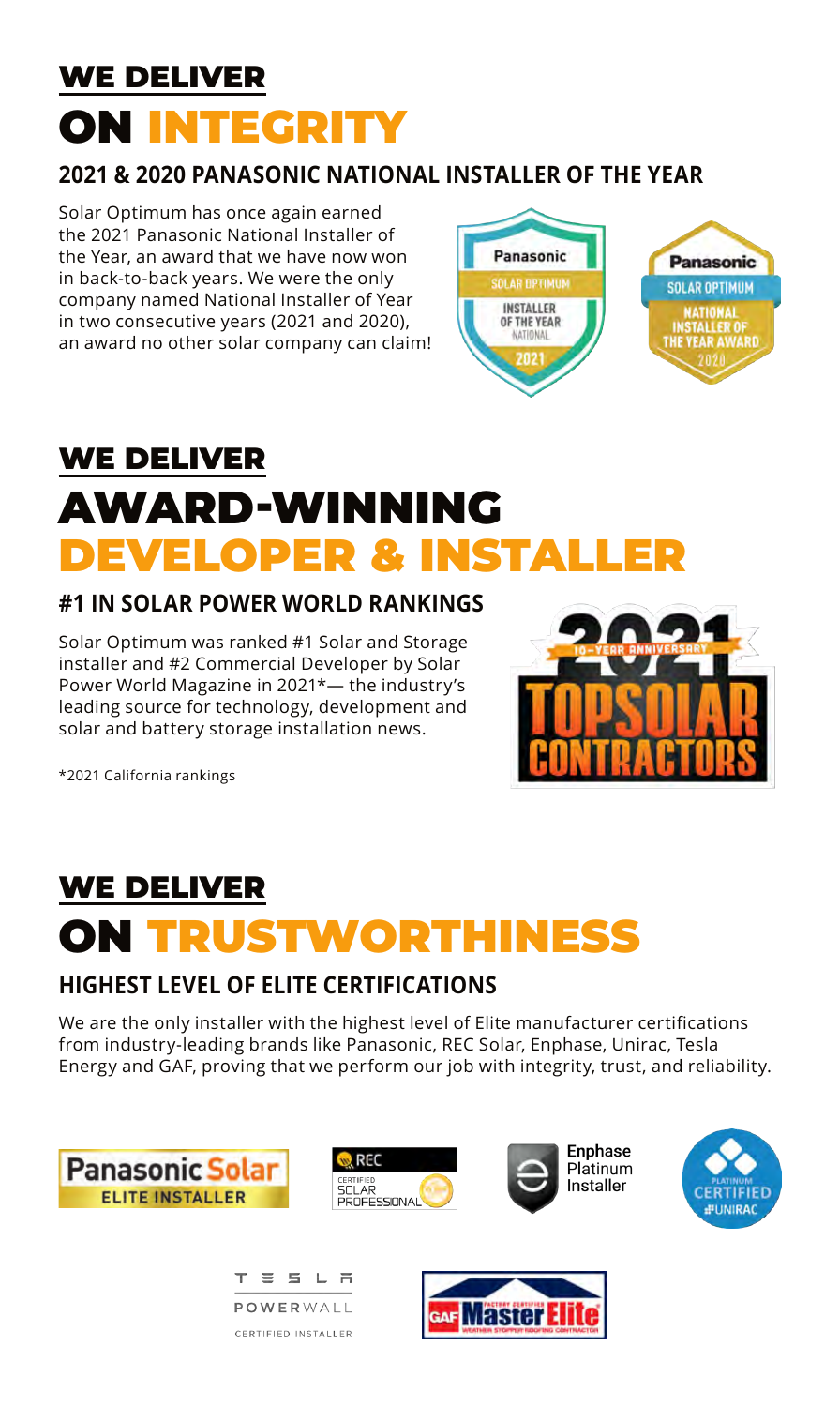### WE DELIVER ON INTEGRITY

#### **2021 & 2020 PANASONIC NATIONAL INSTALLER OF THE YEAR**

Solar Optimum has once again earned the 2021 Panasonic National Installer of the Year, an award that we have now won in back-to-back years. We were the only company named National Installer of Year in two consecutive years (2021 and 2020), an award no other solar company can claim!



# WE DELIVER AWARD-WINNING DEVELOPER & INSTALI

#### **#1 IN SOLAR POWER WORLD RANKINGS**

Solar Optimum was ranked #1 Solar and Storage installer and #2 Commercial Developer by Solar Power World Magazine in 2021\*— the industry's leading source for technology, development and solar and battery storage installation news.



\*2021 California rankings

# WE DELIVER ON TRUSTWORTHINESS

#### **HIGHEST LEVEL OF ELITE CERTIFICATIONS**

We are the only installer with the highest level of Elite manufacturer certifications from industry-leading brands like Panasonic, REC Solar, Enphase, Unirac, Tesla Energy and GAF, proving that we perform our job with integrity, trust, and reliability.







**Enphase** Platinum **Installer** 





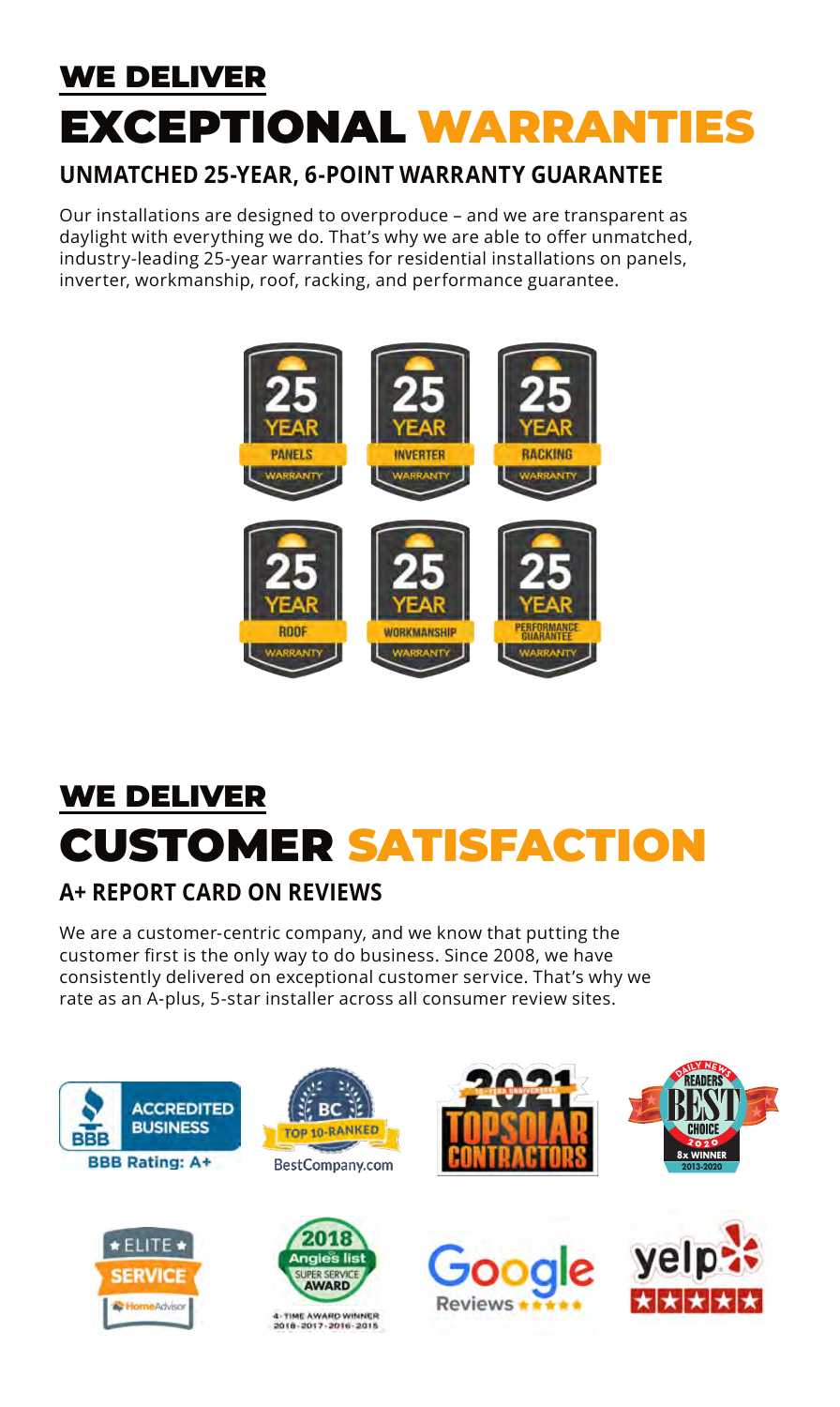# WE DELIVER EXCEPTIONAL WARRANTIES

#### **UNMATCHED 25-YEAR, 6-POINT WARRANTY GUARANTEE**

Our installations are designed to overproduce – and we are transparent as daylight with everything we do. That's why we are able to offer unmatched, industry-leading 25-year warranties for residential installations on panels, inverter, workmanship, roof, racking, and performance guarantee.



### WE DELIVER CUSTOMER SATISFACTION

### **A+ REPORT CARD ON REVIEWS**

We are a customer-centric company, and we know that putting the customer first is the only way to do business. Since 2008, we have consistently delivered on exceptional customer service. That's why we rate as an A-plus, 5-star installer across all consumer review sites.

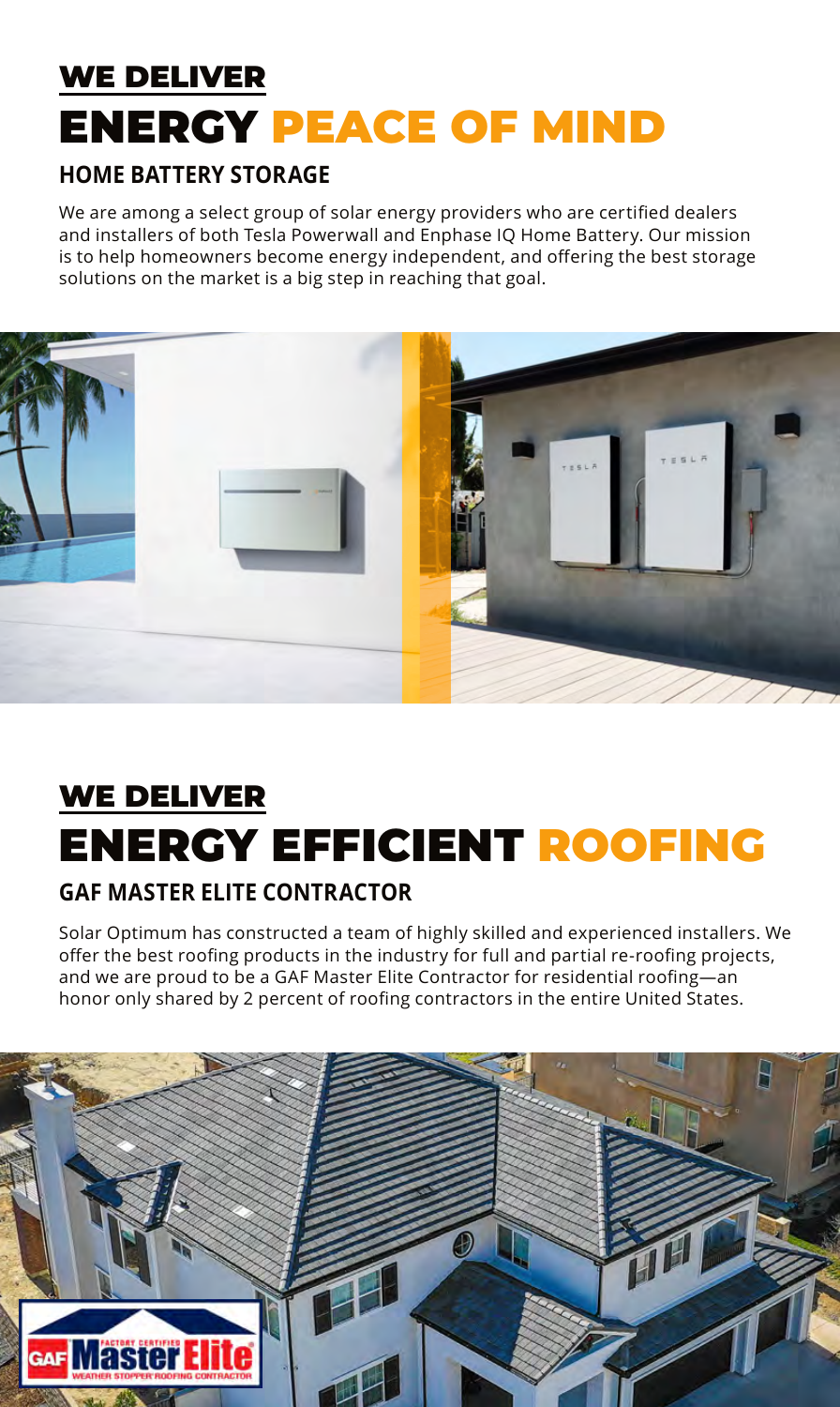### WE DELIVER ENERGY PEACE OF MIND

#### **HOME BATTERY STORAGE**

We are among a select group of solar energy providers who are certified dealers and installers of both Tesla Powerwall and Enphase IQ Home Battery. Our mission is to help homeowners become energy independent, and offering the best storage solutions on the market is a big step in reaching that goal.



# WE DELIVER ENERGY EFFICIENT ROOFING

#### **GAF MASTER ELITE CONTRACTOR**

Solar Optimum has constructed a team of highly skilled and experienced installers. We offer the best roofing products in the industry for full and partial re-roofing projects, and we are proud to be a GAF Master Elite Contractor for residential roofing—an honor only shared by 2 percent of roofing contractors in the entire United States.

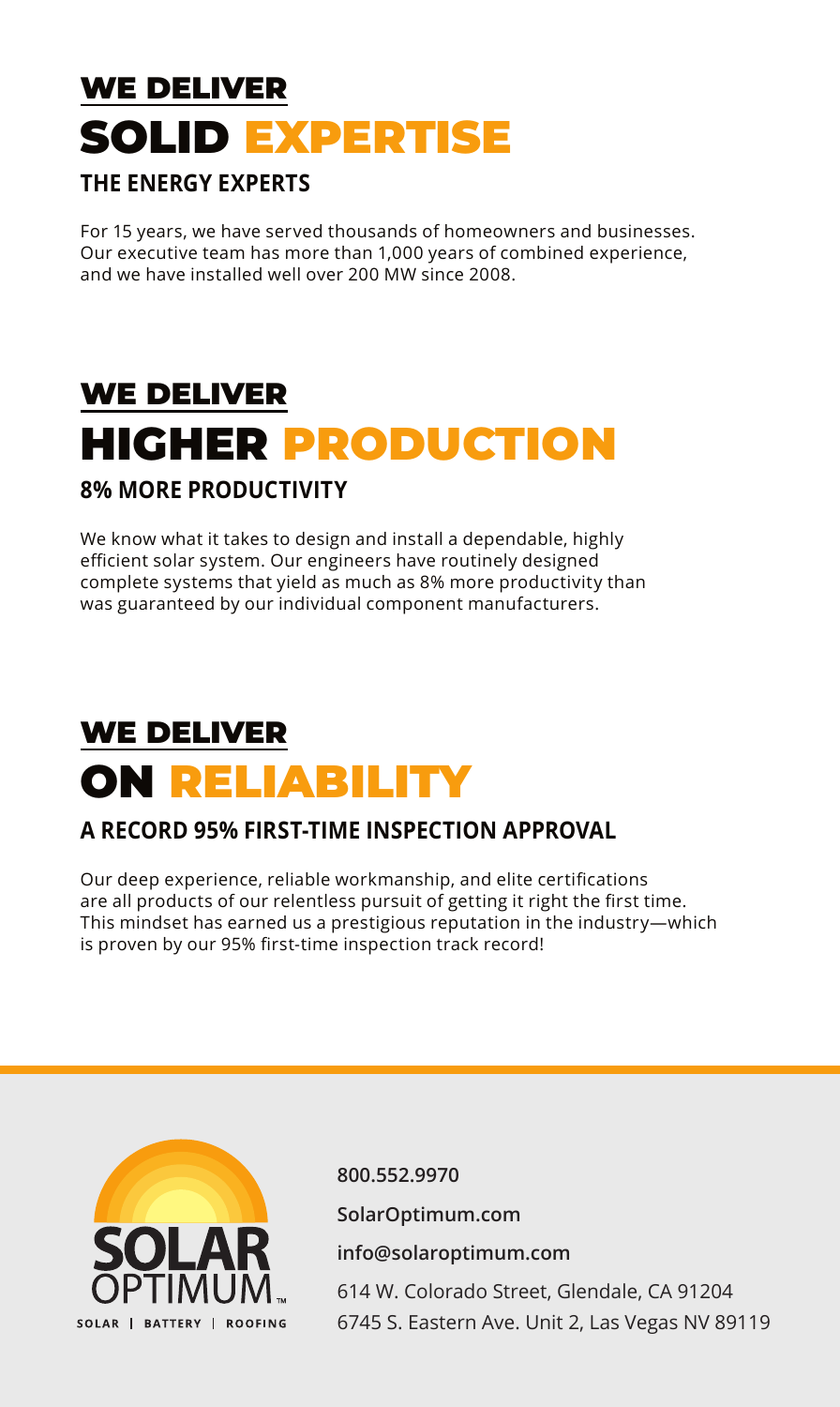### WE DELIVER SOLID EXPERTISE

#### **THE ENERGY EXPERTS**

For 15 years, we have served thousands of homeowners and businesses. Our executive team has more than 1,000 years of combined experience, and we have installed well over 200 MW since 2008.

# WE DELIVER HIGHER PRODUCTION

#### **8% MORE PRODUCTIVITY**

We know what it takes to design and install a dependable, highly efficient solar system. Our engineers have routinely designed complete systems that yield as much as 8% more productivity than was guaranteed by our individual component manufacturers.

### WE DELIVER ON RELIABILITY

#### **A RECORD 95% FIRST-TIME INSPECTION APPROVAL**

Our deep experience, reliable workmanship, and elite certifications are all products of our relentless pursuit of getting it right the first time. This mindset has earned us a prestigious reputation in the industry—which is proven by our 95% first-time inspection track record!



**800.552.9970 SolarOptimum.com info@solaroptimum.com** 614 W. Colorado Street, Glendale, CA 91204 6745 S. Eastern Ave. Unit 2, Las Vegas NV 89119